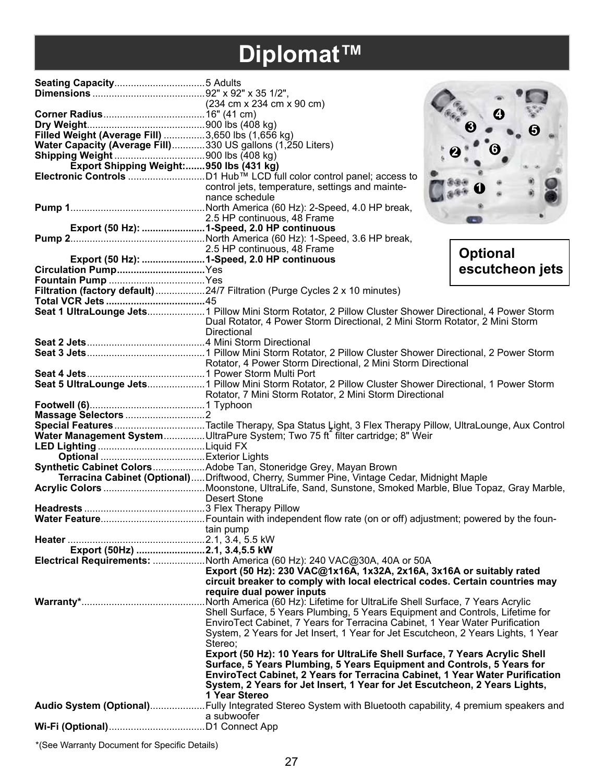# **Diplomat™**

| Filled Weight (Average Fill)  3,650 lbs (1,656 kg)         |                                                                                                                                                            |                 |
|------------------------------------------------------------|------------------------------------------------------------------------------------------------------------------------------------------------------------|-----------------|
| Water Capacity (Average Fill)330 US gallons (1,250 Liters) |                                                                                                                                                            |                 |
|                                                            |                                                                                                                                                            |                 |
| Export Shipping Weight:950 lbs (431 kg)                    |                                                                                                                                                            |                 |
|                                                            | control jets, temperature, settings and mainte-                                                                                                            |                 |
|                                                            | nance schedule                                                                                                                                             |                 |
|                                                            |                                                                                                                                                            |                 |
|                                                            | 2.5 HP continuous, 48 Frame                                                                                                                                |                 |
|                                                            | Export (50 Hz): 1-Speed, 2.0 HP continuous                                                                                                                 |                 |
|                                                            |                                                                                                                                                            |                 |
|                                                            |                                                                                                                                                            |                 |
|                                                            |                                                                                                                                                            | <b>Optional</b> |
|                                                            |                                                                                                                                                            | escutcheon jets |
|                                                            |                                                                                                                                                            |                 |
|                                                            | Filtration (factory default) 24/7 Filtration (Purge Cycles 2 x 10 minutes)                                                                                 |                 |
|                                                            |                                                                                                                                                            |                 |
|                                                            | Seat 1 UltraLounge Jets 1 Pillow Mini Storm Rotator, 2 Pillow Cluster Shower Directional, 4 Power Storm                                                    |                 |
|                                                            | Dual Rotator, 4 Power Storm Directional, 2 Mini Storm Rotator, 2 Mini Storm                                                                                |                 |
|                                                            | Directional                                                                                                                                                |                 |
|                                                            |                                                                                                                                                            |                 |
|                                                            |                                                                                                                                                            |                 |
|                                                            |                                                                                                                                                            |                 |
|                                                            |                                                                                                                                                            |                 |
|                                                            | Seat 5 UltraLounge Jets 1 Pillow Mini Storm Rotator, 2 Pillow Cluster Shower Directional, 1 Power Storm                                                    |                 |
|                                                            | Rotator, 7 Mini Storm Rotator, 2 Mini Storm Directional                                                                                                    |                 |
|                                                            |                                                                                                                                                            |                 |
|                                                            |                                                                                                                                                            |                 |
|                                                            | Special FeaturesTactile Therapy, Spa Status Light, 3 Flex Therapy Pillow, UltraLounge, Aux Control                                                         |                 |
|                                                            | Water Management SystemUltraPure System; Two 75 ft filter cartridge; 8" Weir                                                                               |                 |
|                                                            |                                                                                                                                                            |                 |
|                                                            |                                                                                                                                                            |                 |
|                                                            | Synthetic Cabinet ColorsAdobe Tan, Stoneridge Grey, Mayan Brown                                                                                            |                 |
|                                                            | Terracina Cabinet (Optional)Driftwood, Cherry, Summer Pine, Vintage Cedar, Midnight Maple                                                                  |                 |
|                                                            | <b>Desert Stone</b>                                                                                                                                        |                 |
|                                                            |                                                                                                                                                            |                 |
|                                                            |                                                                                                                                                            |                 |
|                                                            | tain pump                                                                                                                                                  |                 |
|                                                            |                                                                                                                                                            |                 |
| Export (50Hz) 2.1, 3.4,5.5 kW                              |                                                                                                                                                            |                 |
|                                                            | Electrical Requirements: North America (60 Hz): 240 VAC@30A, 40A or 50A                                                                                    |                 |
|                                                            | Export (50 Hz): 230 VAC@1x16A, 1x32A, 2x16A, 3x16A or suitably rated                                                                                       |                 |
|                                                            | circuit breaker to comply with local electrical codes. Certain countries may                                                                               |                 |
|                                                            | require dual power inputs                                                                                                                                  |                 |
|                                                            | .North America (60 Hz): Lifetime for UltraLife Shell Surface, 7 Years Acrylic                                                                              |                 |
|                                                            | Shell Surface, 5 Years Plumbing, 5 Years Equipment and Controls, Lifetime for                                                                              |                 |
|                                                            | EnviroTect Cabinet, 7 Years for Terracina Cabinet, 1 Year Water Purification                                                                               |                 |
|                                                            | System, 2 Years for Jet Insert, 1 Year for Jet Escutcheon, 2 Years Lights, 1 Year                                                                          |                 |
|                                                            | Stereo:                                                                                                                                                    |                 |
|                                                            | Export (50 Hz): 10 Years for UltraLife Shell Surface, 7 Years Acrylic Shell                                                                                |                 |
|                                                            | Surface, 5 Years Plumbing, 5 Years Equipment and Controls, 5 Years for                                                                                     |                 |
|                                                            | EnviroTect Cabinet, 2 Years for Terracina Cabinet, 1 Year Water Purification<br>System, 2 Years for Jet Insert, 1 Year for Jet Escutcheon, 2 Years Lights, |                 |
|                                                            | 1 Year Stereo                                                                                                                                              |                 |
|                                                            |                                                                                                                                                            |                 |
|                                                            | a subwoofer                                                                                                                                                |                 |
|                                                            |                                                                                                                                                            |                 |
|                                                            |                                                                                                                                                            |                 |

\*(See Warranty Document for Specific Details)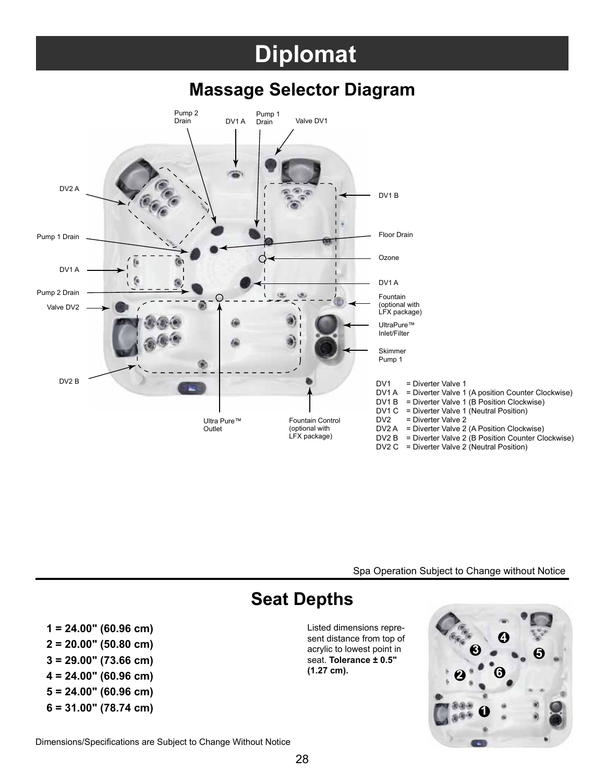## **Diplomat**

#### **Massage Selector Diagram**



Spa Operation Subject to Change without Notice

#### **Seat Depths**

**1 = 24.00" (60.96 cm)** Listed dimensions represent distance from top of acrylic to lowest point in seat. **Tolerance ± 0.5" (1.27 cm).**



**2 = 20.00" (50.80 cm) 3 = 29.00" (73.66 cm)**

- **4 = 24.00" (60.96 cm)**
- **5 = 24.00" (60.96 cm)**
- **6 = 31.00" (78.74 cm) 1**

Dimensions/Specifications are Subject to Change Without Notice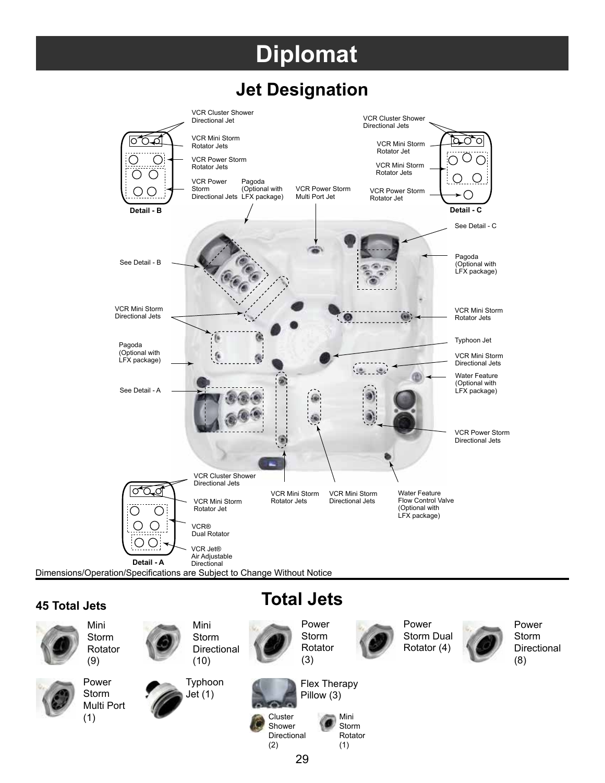## **Diplomat**

### **Jet Designation**



#### **45 Total Jets**



**Total Jets**